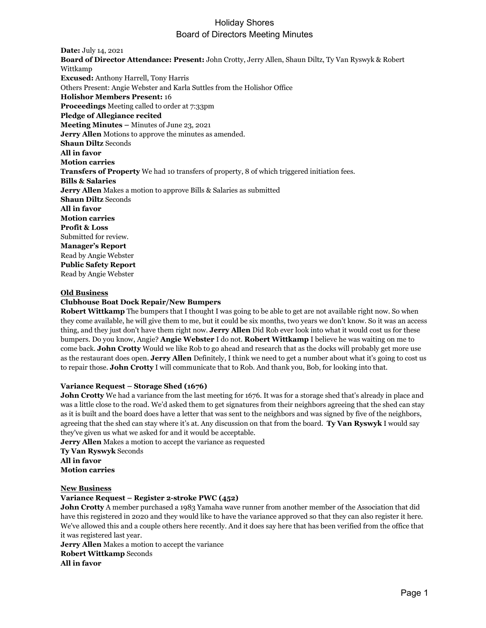**Date:** July 14, 2021 **Board of Director Attendance: Present:** John Crotty, Jerry Allen, Shaun Diltz, Ty Van Ryswyk & Robert Wittkamp **Excused:** Anthony Harrell, Tony Harris Others Present: Angie Webster and Karla Suttles from the Holishor Office **Holishor Members Present:** 16 **Proceedings** Meeting called to order at 7:33pm **Pledge of Allegiance recited Meeting Minutes –** Minutes of June 23, 2021 **Jerry Allen** Motions to approve the minutes as amended. **Shaun Diltz** Seconds **All in favor Motion carries Transfers of Property** We had 10 transfers of property, 8 of which triggered initiation fees. **Bills & Salaries Jerry Allen** Makes a motion to approve Bills & Salaries as submitted **Shaun Diltz** Seconds **All in favor Motion carries Profit & Loss** Submitted for review. **Manager's Report** Read by Angie Webster **Public Safety Report** Read by Angie Webster

#### **Old Business**

#### **Clubhouse Boat Dock Repair/New Bumpers**

**Robert Wittkamp** The bumpers that I thought I was going to be able to get are not available right now. So when they come available, he will give them to me, but it could be six months, two years we don't know. So it was an access thing, and they just don't have them right now. **Jerry Allen** Did Rob ever look into what it would cost us for these bumpers. Do you know, Angie? **Angie Webster** I do not. **Robert Wittkamp** I believe he was waiting on me to come back. **John Crotty** Would we like Rob to go ahead and research that as the docks will probably get more use as the restaurant does open. **Jerry Allen** Definitely, I think we need to get a number about what it's going to cost us to repair those. **John Crotty** I will communicate that to Rob. And thank you, Bob, for looking into that.

#### **Variance Request – Storage Shed (1676)**

**John Crotty** We had a variance from the last meeting for 1676. It was for a storage shed that's already in place and was a little close to the road. We'd asked them to get signatures from their neighbors agreeing that the shed can stay as it is built and the board does have a letter that was sent to the neighbors and was signed by five of the neighbors, agreeing that the shed can stay where it's at. Any discussion on that from the board. **Ty Van Ryswyk** I would say they've given us what we asked for and it would be acceptable.

**Jerry Allen** Makes a motion to accept the variance as requested

**Ty Van Ryswyk** Seconds **All in favor Motion carries**

### **New Business**

#### **Variance Request – Register 2-stroke PWC (452)**

**John Crotty** A member purchased a 1983 Yamaha wave runner from another member of the Association that did have this registered in 2020 and they would like to have the variance approved so that they can also register it here. We've allowed this and a couple others here recently. And it does say here that has been verified from the office that it was registered last year.

**Jerry Allen** Makes a motion to accept the variance **Robert Wittkamp** Seconds **All in favor**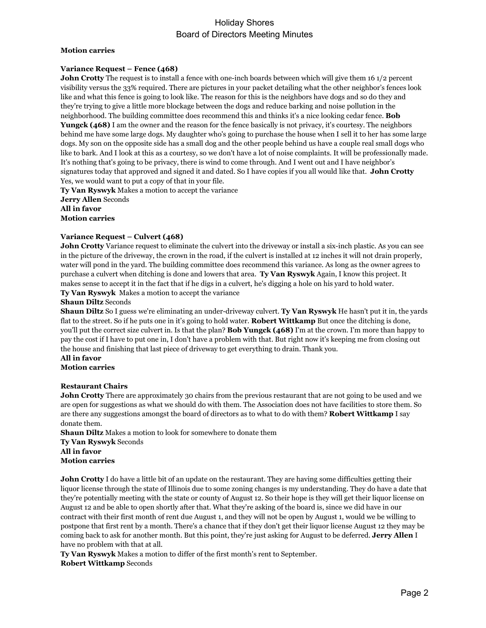#### **Motion carries**

#### **Variance Request – Fence (468)**

**John Crotty** The request is to install a fence with one-inch boards between which will give them 16 1/2 percent visibility versus the 33% required. There are pictures in your packet detailing what the other neighbor's fences look like and what this fence is going to look like. The reason for this is the neighbors have dogs and so do they and they're trying to give a little more blockage between the dogs and reduce barking and noise pollution in the neighborhood. The building committee does recommend this and thinks it's a nice looking cedar fence. **Bob Yungck (468)** I am the owner and the reason for the fence basically is not privacy, it's courtesy. The neighbors behind me have some large dogs. My daughter who's going to purchase the house when I sell it to her has some large dogs. My son on the opposite side has a small dog and the other people behind us have a couple real small dogs who like to bark. And I look at this as a courtesy, so we don't have a lot of noise complaints. It will be professionally made. It's nothing that's going to be privacy, there is wind to come through. And I went out and I have neighbor's signatures today that approved and signed it and dated. So I have copies if you all would like that. **John Crotty** Yes, we would want to put a copy of that in your file.

**Ty Van Ryswyk** Makes a motion to accept the variance **Jerry Allen** Seconds **All in favor Motion carries**

#### **Variance Request – Culvert (468)**

**John Crotty** Variance request to eliminate the culvert into the driveway or install a six-inch plastic. As you can see in the picture of the driveway, the crown in the road, if the culvert is installed at 12 inches it will not drain properly, water will pond in the yard. The building committee does recommend this variance. As long as the owner agrees to purchase a culvert when ditching is done and lowers that area. **Ty Van Ryswyk** Again, I know this project. It makes sense to accept it in the fact that if he digs in a culvert, he's digging a hole on his yard to hold water.

**Ty Van Ryswyk** Makes a motion to accept the variance

#### **Shaun Diltz** Seconds

**Shaun Diltz** So I guess we're eliminating an under-driveway culvert. **Ty Van Ryswyk** He hasn't put it in, the yards flat to the street. So if he puts one in it's going to hold water. **Robert Wittkamp** But once the ditching is done, you'll put the correct size culvert in. Is that the plan? **Bob Yungck (468)** I'm at the crown. I'm more than happy to pay the cost if I have to put one in, I don't have a problem with that. But right now it's keeping me from closing out the house and finishing that last piece of driveway to get everything to drain. Thank you.

**All in favor Motion carries**

#### **Restaurant Chairs**

**John Crotty** There are approximately 30 chairs from the previous restaurant that are not going to be used and we are open for suggestions as what we should do with them. The Association does not have facilities to store them. So are there any suggestions amongst the board of directors as to what to do with them? **Robert Wittkamp** I say donate them.

**Shaun Diltz** Makes a motion to look for somewhere to donate them **Ty Van Ryswyk** Seconds **All in favor Motion carries**

**John Crotty** I do have a little bit of an update on the restaurant. They are having some difficulties getting their liquor license through the state of Illinois due to some zoning changes is my understanding. They do have a date that they're potentially meeting with the state or county of August 12. So their hope is they will get their liquor license on August 12 and be able to open shortly after that. What they're asking of the board is, since we did have in our contract with their first month of rent due August 1, and they will not be open by August 1, would we be willing to postpone that first rent by a month. There's a chance that if they don't get their liquor license August 12 they may be coming back to ask for another month. But this point, they're just asking for August to be deferred. **Jerry Allen** I have no problem with that at all.

**Ty Van Ryswyk** Makes a motion to differ of the first month's rent to September. **Robert Wittkamp** Seconds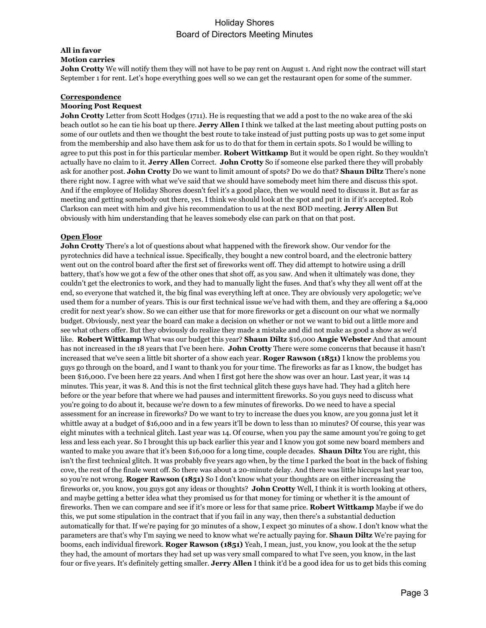# **All in favor**

**Motion carries**

**John Crotty** We will notify them they will not have to be pay rent on August 1. And right now the contract will start September 1 for rent. Let's hope everything goes well so we can get the restaurant open for some of the summer.

### **Correspondence**

### **Mooring Post Request**

**John Crotty** Letter from Scott Hodges (1711). He is requesting that we add a post to the no wake area of the ski beach outlot so he can tie his boat up there. **Jerry Allen** I think we talked at the last meeting about putting posts on some of our outlets and then we thought the best route to take instead of just putting posts up was to get some input from the membership and also have them ask for us to do that for them in certain spots. So I would be willing to agree to put this post in for this particular member. **Robert Wittkamp** But it would be open right. So they wouldn't actually have no claim to it. **Jerry Allen** Correct. **John Crotty** So if someone else parked there they will probably ask for another post. **John Crotty** Do we want to limit amount of spots? Do we do that? **Shaun Diltz** There's none there right now. I agree with what we've said that we should have somebody meet him there and discuss this spot. And if the employee of Holiday Shores doesn't feel it's a good place, then we would need to discuss it. But as far as meeting and getting somebody out there, yes. I think we should look at the spot and put it in if it's accepted. Rob Clarkson can meet with him and give his recommendation to us at the next BOD meeting. **Jerry Allen** But obviously with him understanding that he leaves somebody else can park on that on that post.

#### **Open Floor**

**John Crotty** There's a lot of questions about what happened with the firework show. Our vendor for the pyrotechnics did have a technical issue. Specifically, they bought a new control board, and the electronic battery went out on the control board after the first set of fireworks went off. They did attempt to hotwire using a drill battery, that's how we got a few of the other ones that shot off, as you saw. And when it ultimately was done, they couldn't get the electronics to work, and they had to manually light the fuses. And that's why they all went off at the end, so everyone that watched it, the big final was everything left at once. They are obviously very apologetic; we've used them for a number of years. This is our first technical issue we've had with them, and they are offering a \$4,000 credit for next year's show. So we can either use that for more fireworks or get a discount on our what we normally budget. Obviously, next year the board can make a decision on whether or not we want to bid out a little more and see what others offer. But they obviously do realize they made a mistake and did not make as good a show as we'd like. **Robert Wittkamp** What was our budget this year? **Shaun Diltz** \$16,000 **Angie Webster** And that amount has not increased in the 18 years that I've been here. **John Crotty** There were some concerns that because it hasn't increased that we've seen a little bit shorter of a show each year. **Roger Rawson (1851)** I know the problems you guys go through on the board, and I want to thank you for your time. The fireworks as far as I know, the budget has been \$16,000. I've been here 22 years. And when I first got here the show was over an hour. Last year, it was 14 minutes. This year, it was 8. And this is not the first technical glitch these guys have had. They had a glitch here before or the year before that where we had pauses and intermittent fireworks. So you guys need to discuss what you're going to do about it, because we're down to a few minutes of fireworks. Do we need to have a special assessment for an increase in fireworks? Do we want to try to increase the dues you know, are you gonna just let it whittle away at a budget of \$16,000 and in a few years it'll be down to less than 10 minutes? Of course, this year was eight minutes with a technical glitch. Last year was 14. Of course, when you pay the same amount you're going to get less and less each year. So I brought this up back earlier this year and I know you got some new board members and wanted to make you aware that it's been \$16,000 for a long time, couple decades. **Shaun Diltz** You are right, this isn't the first technical glitch. It was probably five years ago when, by the time I parked the boat in the back of fishing cove, the rest of the finale went off. So there was about a 20-minute delay. And there was little hiccups last year too, so you're not wrong. **Roger Rawson (1851)** So I don't know what your thoughts are on either increasing the fireworks or, you know, you guys got any ideas or thoughts? **John Crotty** Well, I think it is worth looking at others, and maybe getting a better idea what they promised us for that money for timing or whether it is the amount of fireworks. Then we can compare and see if it's more or less for that same price. **Robert Wittkamp** Maybe if we do this, we put some stipulation in the contract that if you fail in any way, then there's a substantial deduction automatically for that. If we're paying for 30 minutes of a show, I expect 30 minutes of a show. I don't know what the parameters are that's why I'm saying we need to know what we're actually paying for. **Shaun Diltz** We're paying for booms, each individual firework. **Roger Rawson (1851)** Yeah, I mean, just, you know, you look at the the setup they had, the amount of mortars they had set up was very small compared to what I've seen, you know, in the last four or five years. It's definitely getting smaller. **Jerry Allen** I think it'd be a good idea for us to get bids this coming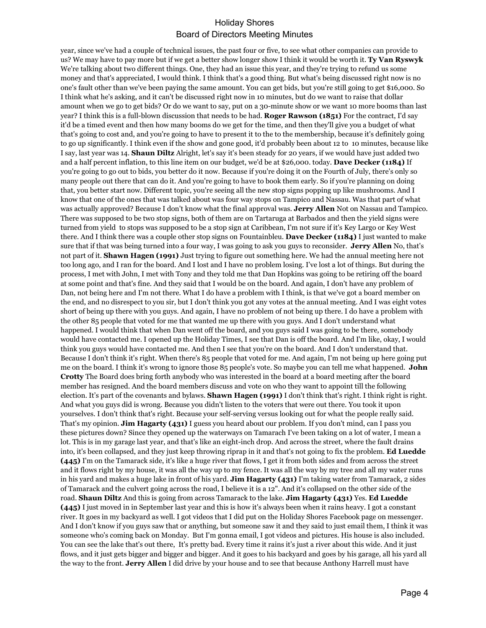year, since we've had a couple of technical issues, the past four or five, to see what other companies can provide to us? We may have to pay more but if we get a better show longer show I think it would be worth it. **Ty Van Ryswyk**  We're talking about two different things. One, they had an issue this year, and they're trying to refund us some money and that's appreciated, I would think. I think that's a good thing. But what's being discussed right now is no one's fault other than we've been paying the same amount. You can get bids, but you're still going to get \$16,000. So I think what he's asking, and it can't be discussed right now in 10 minutes, but do we want to raise that dollar amount when we go to get bids? Or do we want to say, put on a 30-minute show or we want 10 more booms than last year? I think this is a full-blown discussion that needs to be had. **Roger Rawson (1851)** For the contract, I'd say it'd be a timed event and then how many booms do we get for the time, and then they'll give you a budget of what that's going to cost and, and you're going to have to present it to the to the membership, because it's definitely going to go up significantly. I think even if the show and gone good, it'd probably been about 12 to 10 minutes, because like I say, last year was 14. **Shaun Diltz** Alright, let's say it's been steady for 20 years, if we would have just added two and a half percent inflation, to this line item on our budget, we'd be at \$26,000. today. **Dave Decker (1184)** If you're going to go out to bids, you better do it now. Because if you're doing it on the Fourth of July, there's only so many people out there that can do it. And you're going to have to book them early. So if you're planning on doing that, you better start now. Different topic, you're seeing all the new stop signs popping up like mushrooms. And I know that one of the ones that was talked about was four way stops on Tampico and Nassau. Was that part of what was actually approved? Because I don't know what the final approval was. **Jerry Allen** Not on Nassau and Tampico. There was supposed to be two stop signs, both of them are on Tartaruga at Barbados and then the yield signs were turned from yield to stops was supposed to be a stop sign at Caribbean, I'm not sure if it's Key Largo or Key West there. And I think there was a couple other stop signs on Fountainbleu. **Dave Decker (1184)** I just wanted to make sure that if that was being turned into a four way, I was going to ask you guys to reconsider. **Jerry Allen** No, that's not part of it. **Shawn Hagen (1991)** Just trying to figure out something here. We had the annual meeting here not too long ago, and I ran for the board. And I lost and I have no problem losing. I've lost a lot of things. But during the process, I met with John, I met with Tony and they told me that Dan Hopkins was going to be retiring off the board at some point and that's fine. And they said that I would be on the board. And again, I don't have any problem of Dan, not being here and I'm not there. What I do have a problem with I think, is that we've got a board member on the end, and no disrespect to you sir, but I don't think you got any votes at the annual meeting. And I was eight votes short of being up there with you guys. And again, I have no problem of not being up there. I do have a problem with the other 85 people that voted for me that wanted me up there with you guys. And I don't understand what happened. I would think that when Dan went off the board, and you guys said I was going to be there, somebody would have contacted me. I opened up the Holiday Times, I see that Dan is off the board. And I'm like, okay, I would think you guys would have contacted me. And then I see that you're on the board. And I don't understand that. Because I don't think it's right. When there's 85 people that voted for me. And again, I'm not being up here going put me on the board. I think it's wrong to ignore those 85 people's vote. So maybe you can tell me what happened. **John Crotty** The Board does bring forth anybody who was interested in the board at a board meeting after the board member has resigned. And the board members discuss and vote on who they want to appoint till the following election. It's part of the covenants and bylaws. **Shawn Hagen (1991)** I don't think that's right. I think right is right. And what you guys did is wrong. Because you didn't listen to the voters that were out there. You took it upon yourselves. I don't think that's right. Because your self-serving versus looking out for what the people really said. That's my opinion. **Jim Hagarty (431)** I guess you heard about our problem. If you don't mind, can I pass you these pictures down? Since they opened up the waterways on Tamarach I've been taking on a lot of water, I mean a lot. This is in my garage last year, and that's like an eight-inch drop. And across the street, where the fault drains into, it's been collapsed, and they just keep throwing riprap in it and that's not going to fix the problem. **Ed Luedde (445)** I'm on the Tamarack side, it's like a huge river that flows, I get it from both sides and from across the street and it flows right by my house, it was all the way up to my fence. It was all the way by my tree and all my water runs in his yard and makes a huge lake in front of his yard. **Jim Hagarty (431)** I'm taking water from Tamarack, 2 sides of Tamarack and the culvert going across the road, I believe it is a 12". And it's collapsed on the other side of the road. **Shaun Diltz** And this is going from across Tamarack to the lake. **Jim Hagarty (431)** Yes. **Ed Luedde (445)** I just moved in in September last year and this is how it's always been when it rains heavy. I got a constant river. It goes in my backyard as well. I got videos that I did put on the Holiday Shores Facebook page on messenger. And I don't know if you guys saw that or anything, but someone saw it and they said to just email them, I think it was someone who's coming back on Monday. But I'm gonna email, I got videos and pictures. His house is also included. You can see the lake that's out there, It's pretty bad. Every time it rains it's just a river about this wide. And it just flows, and it just gets bigger and bigger and bigger. And it goes to his backyard and goes by his garage, all his yard all the way to the front. **Jerry Allen** I did drive by your house and to see that because Anthony Harrell must have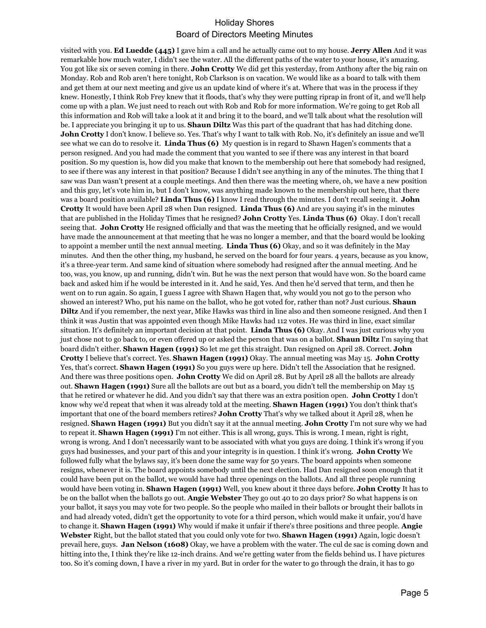visited with you. **Ed Luedde (445)** I gave him a call and he actually came out to my house. **Jerry Allen** And it was remarkable how much water, I didn't see the water. All the different paths of the water to your house, it's amazing. You got like six or seven coming in there. **John Crotty** We did get this yesterday, from Anthony after the big rain on Monday. Rob and Rob aren't here tonight, Rob Clarkson is on vacation. We would like as a board to talk with them and get them at our next meeting and give us an update kind of where it's at. Where that was in the process if they knew. Honestly, I think Rob Frey knew that it floods, that's why they were putting riprap in front of it, and we'll help come up with a plan. We just need to reach out with Rob and Rob for more information. We're going to get Rob all this information and Rob will take a look at it and bring it to the board, and we'll talk about what the resolution will be. I appreciate you bringing it up to us. **Shaun Diltz** Was this part of the quadrant that has had ditching done. **John Crotty** I don't know. I believe so. Yes. That's why I want to talk with Rob. No, it's definitely an issue and we'll see what we can do to resolve it. **Linda Thus (6)** My question is in regard to Shawn Hagen's comments that a person resigned. And you had made the comment that you wanted to see if there was any interest in that board position. So my question is, how did you make that known to the membership out here that somebody had resigned, to see if there was any interest in that position? Because I didn't see anything in any of the minutes. The thing that I saw was Dan wasn't present at a couple meetings. And then there was the meeting where, oh, we have a new position and this guy, let's vote him in, but I don't know, was anything made known to the membership out here, that there was a board position available? **Linda Thus (6)** I know I read through the minutes. I don't recall seeing it. **John Crotty** It would have been April 28 when Dan resigned. **Linda Thus (6)** And are you saying it's in the minutes that are published in the Holiday Times that he resigned? **John Crotty** Yes. **Linda Thus (6)** Okay. I don't recall seeing that. **John Crotty** He resigned officially and that was the meeting that he officially resigned, and we would have made the announcement at that meeting that he was no longer a member, and that the board would be looking to appoint a member until the next annual meeting. **Linda Thus (6)** Okay, and so it was definitely in the May minutes. And then the other thing, my husband, he served on the board for four years. 4 years, because as you know, it's a three-year term. And same kind of situation where somebody had resigned after the annual meeting. And he too, was, you know, up and running, didn't win. But he was the next person that would have won. So the board came back and asked him if he would be interested in it. And he said, Yes. And then he'd served that term, and then he went on to run again. So again, I guess I agree with Shawn Hagen that, why would you not go to the person who showed an interest? Who, put his name on the ballot, who he got voted for, rather than not? Just curious. **Shaun Diltz** And if you remember, the next year, Mike Hawks was third in line also and then someone resigned. And then I think it was Justin that was appointed even though Mike Hawks had 112 votes. He was third in line, exact similar situation. It's definitely an important decision at that point. **Linda Thus (6)** Okay. And I was just curious why you just chose not to go back to, or even offered up or asked the person that was on a ballot. **Shaun Diltz** I'm saying that board didn't either. **Shawn Hagen (1991)** So let me get this straight. Dan resigned on April 28. Correct. **John Crotty** I believe that's correct. Yes. **Shawn Hagen (1991)** Okay. The annual meeting was May 15. **John Crotty** Yes, that's correct. **Shawn Hagen (1991)** So you guys were up here. Didn't tell the Association that he resigned. And there was three positions open. **John Crotty** We did on April 28. But by April 28 all the ballots are already out. **Shawn Hagen (1991)** Sure all the ballots are out but as a board, you didn't tell the membership on May 15 that he retired or whatever he did. And you didn't say that there was an extra position open. **John Crotty** I don't know why we'd repeat that when it was already told at the meeting. **Shawn Hagen (1991)** You don't think that's important that one of the board members retires? **John Crotty** That's why we talked about it April 28, when he resigned. **Shawn Hagen (1991)** But you didn't say it at the annual meeting. **John Crotty** I'm not sure why we had to repeat it. **Shawn Hagen (1991)** I'm not either. This is all wrong, guys. This is wrong. I mean, right is right, wrong is wrong. And I don't necessarily want to be associated with what you guys are doing. I think it's wrong if you guys had businesses, and your part of this and your integrity is in question. I think it's wrong. **John Crotty** We followed fully what the bylaws say, it's been done the same way for 50 years. The board appoints when someone resigns, whenever it is. The board appoints somebody until the next election. Had Dan resigned soon enough that it could have been put on the ballot, we would have had three openings on the ballots. And all three people running would have been voting in. **Shawn Hagen (1991)** Well, you knew about it three days before. **John Crotty** It has to be on the ballot when the ballots go out. **Angie Webster** They go out 40 to 20 days prior? So what happens is on your ballot, it says you may vote for two people. So the people who mailed in their ballots or brought their ballots in and had already voted, didn't get the opportunity to vote for a third person, which would make it unfair, you'd have to change it. **Shawn Hagen (1991)** Why would if make it unfair if there's three positions and three people. **Angie Webster** Right, but the ballot stated that you could only vote for two. **Shawn Hagen (1991)** Again, logic doesn't prevail here, guys. **Jan Nelson (1608)** Okay, we have a problem with the water. The cul de sac is coming down and hitting into the, I think they're like 12-inch drains. And we're getting water from the fields behind us. I have pictures too. So it's coming down, I have a river in my yard. But in order for the water to go through the drain, it has to go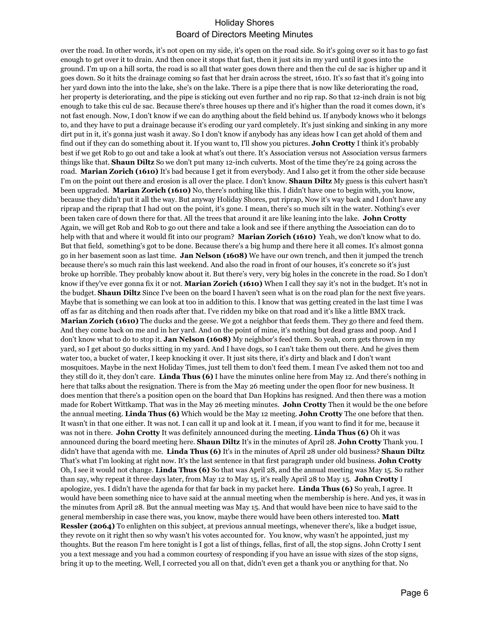over the road. In other words, it's not open on my side, it's open on the road side. So it's going over so it has to go fast enough to get over it to drain. And then once it stops that fast, then it just sits in my yard until it goes into the ground. I'm up on a hill sorta, the road is so all that water goes down there and then the cul de sac is higher up and it goes down. So it hits the drainage coming so fast that her drain across the street, 1610. It's so fast that it's going into her yard down into the into the lake, she's on the lake. There is a pipe there that is now like deteriorating the road, her property is deteriorating, and the pipe is sticking out even further and no rip rap. So that 12-inch drain is not big enough to take this cul de sac. Because there's three houses up there and it's higher than the road it comes down, it's not fast enough. Now, I don't know if we can do anything about the field behind us. If anybody knows who it belongs to, and they have to put a drainage because it's eroding our yard completely. It's just sinking and sinking in any more dirt put in it, it's gonna just wash it away. So I don't know if anybody has any ideas how I can get ahold of them and find out if they can do something about it. If you want to, I'll show you pictures. **John Crotty** I think it's probably best if we get Rob to go out and take a look at what's out there. It's Association versus not Association versus farmers things like that. **Shaun Diltz** So we don't put many 12-inch culverts. Most of the time they're 24 going across the road. **Marian Zorich (1610)** It's bad because I get it from everybody. And I also get it from the other side because I'm on the point out there and erosion is all over the place. I don't know. **Shaun Diltz** My guess is this culvert hasn't been upgraded. **Marian Zorich (1610)** No, there's nothing like this. I didn't have one to begin with, you know, because they didn't put it all the way. But anyway Holiday Shores, put riprap, Now it's way back and I don't have any riprap and the riprap that I had out on the point, it's gone. I mean, there's so much silt in the water. Nothing's ever been taken care of down there for that. All the trees that around it are like leaning into the lake. **John Crotty** Again, we will get Rob and Rob to go out there and take a look and see if there anything the Association can do to help with that and where it would fit into our program? **Marian Zorich (1610)** Yeah, we don't know what to do. But that field, something's got to be done. Because there's a big hump and there here it all comes. It's almost gonna go in her basement soon as last time. **Jan Nelson (1608)** We have our own trench, and then it jumped the trench because there's so much rain this last weekend. And also the road in front of our houses, it's concrete so it's just broke up horrible. They probably know about it. But there's very, very big holes in the concrete in the road. So I don't know if they've ever gonna fix it or not. **Marian Zorich (1610)** When I call they say it's not in the budget. It's not in the budget. **Shaun Diltz** Since I've been on the board I haven't seen what is on the road plan for the next five years. Maybe that is something we can look at too in addition to this. I know that was getting created in the last time I was off as far as ditching and then roads after that. I've ridden my bike on that road and it's like a little BMX track. **Marian Zorich (1610)** The ducks and the geese. We got a neighbor that feeds them. They go there and feed them. And they come back on me and in her yard. And on the point of mine, it's nothing but dead grass and poop. And I don't know what to do to stop it. **Jan Nelson (1608)** My neighbor's feed them. So yeah, corn gets thrown in my yard, so I get about 50 ducks sitting in my yard. And I have dogs, so I can't take them out there. And he gives them water too, a bucket of water, I keep knocking it over. It just sits there, it's dirty and black and I don't want mosquitoes. Maybe in the next Holiday Times, just tell them to don't feed them. I mean I've asked them not too and they still do it, they don't care. **Linda Thus (6)** I have the minutes online here from May 12. And there's nothing in here that talks about the resignation. There is from the May 26 meeting under the open floor for new business. It does mention that there's a position open on the board that Dan Hopkins has resigned. And then there was a motion made for Robert Wittkamp. That was in the May 26 meeting minutes. **John Crotty** Then it would be the one before the annual meeting. **Linda Thus (6)** Which would be the May 12 meeting. **John Crotty** The one before that then. It wasn't in that one either. It was not. I can call it up and look at it. I mean, if you want to find it for me, because it was not in there. **John Crotty** It was definitely announced during the meeting. **Linda Thus (6)** Oh it was announced during the board meeting here. **Shaun Diltz** It's in the minutes of April 28. **John Crotty** Thank you. I didn't have that agenda with me. **Linda Thus (6)** It's in the minutes of April 28 under old business? **Shaun Diltz**  That's what I'm looking at right now. It's the last sentence in that first paragraph under old business. **John Crotty**  Oh, I see it would not change. **Linda Thus (6)** So that was April 28, and the annual meeting was May 15. So rather than say, why repeat it three days later, from May 12 to May 15, it's really April 28 to May 15. **John Crotty** I apologize, yes. I didn't have the agenda for that far back in my packet here. **Linda Thus (6)** So yeah, I agree. It would have been something nice to have said at the annual meeting when the membership is here. And yes, it was in the minutes from April 28. But the annual meeting was May 15. And that would have been nice to have said to the general membership in case there was, you know, maybe there would have been others interested too. **Matt Ressler (2064)** To enlighten on this subject, at previous annual meetings, whenever there's, like a budget issue, they revote on it right then so why wasn't his votes accounted for. You know, why wasn't he appointed, just my thoughts. But the reason I'm here tonight is I got a list of things, fellas, first of all, the stop signs. John Crotty I sent you a text message and you had a common courtesy of responding if you have an issue with sizes of the stop signs, bring it up to the meeting. Well, I corrected you all on that, didn't even get a thank you or anything for that. No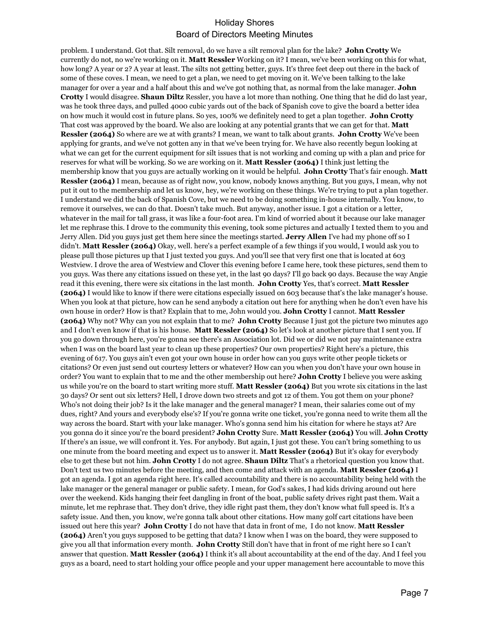problem. I understand. Got that. Silt removal, do we have a silt removal plan for the lake? **John Crotty** We currently do not, no we're working on it. **Matt Ressler** Working on it? I mean, we've been working on this for what, how long? A year or 2? A year at least. The silts not getting better, guys. It's three feet deep out there in the back of some of these coves. I mean, we need to get a plan, we need to get moving on it. We've been talking to the lake manager for over a year and a half about this and we've got nothing that, as normal from the lake manager. **John Crotty** I would disagree. **Shaun Diltz** Ressler, you have a lot more than nothing. One thing that he did do last year, was he took three days, and pulled 4000 cubic yards out of the back of Spanish cove to give the board a better idea on how much it would cost in future plans. So yes, 100% we definitely need to get a plan together. **John Crotty**  That cost was approved by the board. We also are looking at any potential grants that we can get for that. **Matt Ressler (2064)** So where are we at with grants? I mean, we want to talk about grants. **John Crotty** We've been applying for grants, and we've not gotten any in that we've been trying for. We have also recently begun looking at what we can get for the current equipment for silt issues that is not working and coming up with a plan and price for reserves for what will be working. So we are working on it. **Matt Ressler (2064)** I think just letting the membership know that you guys are actually working on it would be helpful. **John Crotty** That's fair enough. **Matt Ressler (2064)** I mean, because as of right now, you know, nobody knows anything. But you guys, I mean, why not put it out to the membership and let us know, hey, we're working on these things. We're trying to put a plan together. I understand we did the back of Spanish Cove, but we need to be doing something in-house internally. You know, to remove it ourselves, we can do that. Doesn't take much. But anyway, another issue. I got a citation or a letter, whatever in the mail for tall grass, it was like a four-foot area. I'm kind of worried about it because our lake manager let me rephrase this. I drove to the community this evening, took some pictures and actually I texted them to you and Jerry Allen. Did you guys just get them here since the meetings started. **Jerry Allen** I've had my phone off so I didn't. **Matt Ressler (2064)** Okay, well. here's a perfect example of a few things if you would, I would ask you to please pull those pictures up that I just texted you guys. And you'll see that very first one that is located at 603 Westview. I drove the area of Westview and Clover this evening before I came here, took these pictures, send them to you guys. Was there any citations issued on these yet, in the last 90 days? I'll go back 90 days. Because the way Angie read it this evening, there were six citations in the last month. **John Crotty** Yes, that's correct. **Matt Ressler (2064)** I would like to know if there were citations especially issued on 603 because that's the lake manager's house. When you look at that picture, how can he send anybody a citation out here for anything when he don't even have his own house in order? How is that? Explain that to me, John would you. **John Crotty** I cannot. **Matt Ressler (2064)** Why not? Why can you not explain that to me? **John Crotty** Because I just got the picture two minutes ago and I don't even know if that is his house. **Matt Ressler (2064)** So let's look at another picture that I sent you. If you go down through here, you're gonna see there's an Association lot. Did we or did we not pay maintenance extra when I was on the board last year to clean up these properties? Our own properties? Right here's a picture, this evening of 617. You guys ain't even got your own house in order how can you guys write other people tickets or citations? Or even just send out courtesy letters or whatever? How can you when you don't have your own house in order? You want to explain that to me and the other membership out here? **John Crotty** I believe you were asking us while you're on the board to start writing more stuff. **Matt Ressler (2064)** But you wrote six citations in the last 30 days? Or sent out six letters? Hell, I drove down two streets and got 12 of them. You got them on your phone? Who's not doing their job? Is it the lake manager and the general manager? I mean, their salaries come out of my dues, right? And yours and everybody else's? If you're gonna write one ticket, you're gonna need to write them all the way across the board. Start with your lake manager. Who's gonna send him his citation for where he stays at? Are you gonna do it since you're the board president? **John Crotty** Sure. **Matt Ressler (2064)** You will. **John Crotty**  If there's an issue, we will confront it. Yes. For anybody. But again, I just got these. You can't bring something to us one minute from the board meeting and expect us to answer it. **Matt Ressler (2064)** But it's okay for everybody else to get these but not him. **John Crotty** I do not agree. **Shaun Diltz** That's a rhetorical question you know that. Don't text us two minutes before the meeting, and then come and attack with an agenda. **Matt Ressler (2064)** I got an agenda. I got an agenda right here. It's called accountability and there is no accountability being held with the lake manager or the general manager or public safety. I mean, for God's sakes, I had kids driving around out here over the weekend. Kids hanging their feet dangling in front of the boat, public safety drives right past them. Wait a minute, let me rephrase that. They don't drive, they idle right past them, they don't know what full speed is. It's a safety issue. And then, you know, we're gonna talk about other citations. How many golf cart citations have been issued out here this year? **John Crotty** I do not have that data in front of me, I do not know. **Matt Ressler (2064)** Aren't you guys supposed to be getting that data? I know when I was on the board, they were supposed to give you all that information every month. **John Crotty** Still don't have that in front of me right here so I can't answer that question. **Matt Ressler (2064)** I think it's all about accountability at the end of the day. And I feel you guys as a board, need to start holding your office people and your upper management here accountable to move this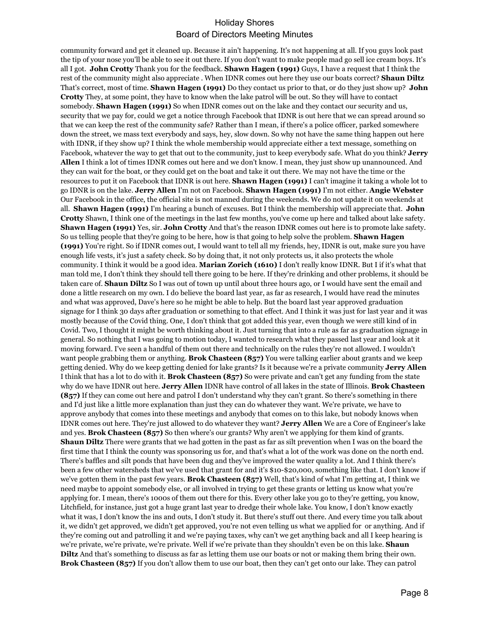community forward and get it cleaned up. Because it ain't happening. It's not happening at all. If you guys look past the tip of your nose you'll be able to see it out there. If you don't want to make people mad go sell ice cream boys. It's all I got. **John Crotty** Thank you for the feedback. **Shawn Hagen (1991)** Guys, I have a request that I think the rest of the community might also appreciate . When IDNR comes out here they use our boats correct? **Shaun Diltz**  That's correct, most of time. **Shawn Hagen (1991)** Do they contact us prior to that, or do they just show up? **John Crotty** They, at some point, they have to know when the lake patrol will be out. So they will have to contact somebody. **Shawn Hagen (1991)** So when IDNR comes out on the lake and they contact our security and us, security that we pay for, could we get a notice through Facebook that IDNR is out here that we can spread around so that we can keep the rest of the community safe? Rather than I mean, if there's a police officer, parked somewhere down the street, we mass text everybody and says, hey, slow down. So why not have the same thing happen out here with IDNR, if they show up? I think the whole membership would appreciate either a text message, something on Facebook, whatever the way to get that out to the community, just to keep everybody safe. What do you think? **Jerry Allen** I think a lot of times IDNR comes out here and we don't know. I mean, they just show up unannounced. And they can wait for the boat, or they could get on the boat and take it out there. We may not have the time or the resources to put it on Facebook that IDNR is out here. **Shawn Hagen (1991)** I can't imagine it taking a whole lot to go IDNR is on the lake. **Jerry Allen** I'm not on Facebook. **Shawn Hagen (1991)** I'm not either. **Angie Webster**  Our Facebook in the office, the official site is not manned during the weekends. We do not update it on weekends at all. **Shawn Hagen (1991)** I'm hearing a bunch of excuses. But I think the membership will appreciate that. **John Crotty** Shawn, I think one of the meetings in the last few months, you've come up here and talked about lake safety. **Shawn Hagen (1991)** Yes, sir. **John Crotty** And that's the reason IDNR comes out here is to promote lake safety. So us telling people that they're going to be here, how is that going to help solve the problem. **Shawn Hagen (1991)** You're right. So if IDNR comes out, I would want to tell all my friends, hey, IDNR is out, make sure you have enough life vests, it's just a safety check. So by doing that, it not only protects us, it also protects the whole community. I think it would be a good idea. **Marian Zorich (1610)** I don't really know IDNR. But I if it's what that man told me, I don't think they should tell there going to be here. If they're drinking and other problems, it should be taken care of. **Shaun Diltz** So I was out of town up until about three hours ago, or I would have sent the email and done a little research on my own. I do believe the board last year, as far as research, I would have read the minutes and what was approved, Dave's here so he might be able to help. But the board last year approved graduation signage for I think 30 days after graduation or something to that effect. And I think it was just for last year and it was mostly because of the Covid thing. One, I don't think that got added this year, even though we were still kind of in Covid. Two, I thought it might be worth thinking about it. Just turning that into a rule as far as graduation signage in general. So nothing that I was going to motion today, I wanted to research what they passed last year and look at it moving forward. I've seen a handful of them out there and technically on the rules they're not allowed. I wouldn't want people grabbing them or anything. **Brok Chasteen (857)** You were talking earlier about grants and we keep getting denied. Why do we keep getting denied for lake grants? Is it because we're a private community **Jerry Allen**  I think that has a lot to do with it. **Brok Chasteen (857)** So were private and can't get any funding from the state why do we have IDNR out here. **Jerry Allen** IDNR have control of all lakes in the state of Illinois. **Brok Chasteen (857)** If they can come out here and patrol I don't understand why they can't grant. So there's something in there and I'd just like a little more explanation than just they can do whatever they want. We're private, we have to approve anybody that comes into these meetings and anybody that comes on to this lake, but nobody knows when IDNR comes out here. They're just allowed to do whatever they want? **Jerry Allen** We are a Core of Engineer's lake and yes. **Brok Chasteen (857)** So then where's our grants? Why aren't we applying for them kind of grants. **Shaun Diltz** There were grants that we had gotten in the past as far as silt prevention when I was on the board the first time that I think the county was sponsoring us for, and that's what a lot of the work was done on the north end. There's baffles and silt ponds that have been dug and they've improved the water quality a lot. And I think there's been a few other watersheds that we've used that grant for and it's \$10-\$20,000, something like that. I don't know if we've gotten them in the past few years. **Brok Chasteen (857)** Well, that's kind of what I'm getting at, I think we need maybe to appoint somebody else, or all involved in trying to get these grants or letting us know what you're applying for. I mean, there's 1000s of them out there for this. Every other lake you go to they're getting, you know, Litchfield, for instance, just got a huge grant last year to dredge their whole lake. You know, I don't know exactly what it was, I don't know the ins and outs, I don't study it. But there's stuff out there. And every time you talk about it, we didn't get approved, we didn't get approved, you're not even telling us what we applied for or anything. And if they're coming out and patrolling it and we're paying taxes, why can't we get anything back and all I keep hearing is we're private, we're private, we're private. Well if we're private than they shouldn't even be on this lake. **Shaun Diltz** And that's something to discuss as far as letting them use our boats or not or making them bring their own. **Brok Chasteen (857)** If you don't allow them to use our boat, then they can't get onto our lake. They can patrol